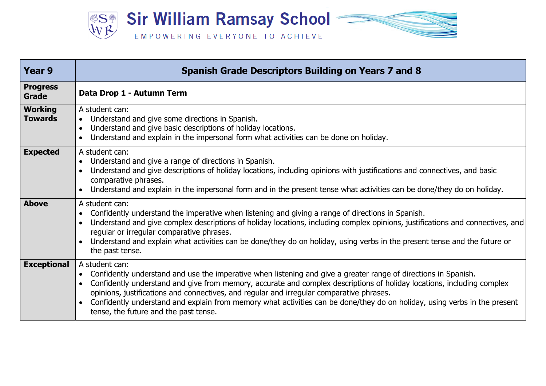

| Year 9                           | <b>Spanish Grade Descriptors Building on Years 7 and 8</b>                                                                                                                                                                                                                                                                                                                                                                                                                                                                                              |
|----------------------------------|---------------------------------------------------------------------------------------------------------------------------------------------------------------------------------------------------------------------------------------------------------------------------------------------------------------------------------------------------------------------------------------------------------------------------------------------------------------------------------------------------------------------------------------------------------|
| <b>Progress</b><br>Grade         | Data Drop 1 - Autumn Term                                                                                                                                                                                                                                                                                                                                                                                                                                                                                                                               |
| <b>Working</b><br><b>Towards</b> | A student can:<br>Understand and give some directions in Spanish.<br>$\bullet$<br>Understand and give basic descriptions of holiday locations.<br>Understand and explain in the impersonal form what activities can be done on holiday.                                                                                                                                                                                                                                                                                                                 |
| <b>Expected</b>                  | A student can:<br>Understand and give a range of directions in Spanish.<br>Understand and give descriptions of holiday locations, including opinions with justifications and connectives, and basic<br>comparative phrases.<br>Understand and explain in the impersonal form and in the present tense what activities can be done/they do on holiday.                                                                                                                                                                                                   |
| <b>Above</b>                     | A student can:<br>Confidently understand the imperative when listening and giving a range of directions in Spanish.<br>Understand and give complex descriptions of holiday locations, including complex opinions, justifications and connectives, and<br>regular or irregular comparative phrases.<br>Understand and explain what activities can be done/they do on holiday, using verbs in the present tense and the future or<br>the past tense.                                                                                                      |
| <b>Exceptional</b>               | A student can:<br>Confidently understand and use the imperative when listening and give a greater range of directions in Spanish.<br>$\bullet$<br>Confidently understand and give from memory, accurate and complex descriptions of holiday locations, including complex<br>opinions, justifications and connectives, and regular and irregular comparative phrases.<br>Confidently understand and explain from memory what activities can be done/they do on holiday, using verbs in the present<br>$\bullet$<br>tense, the future and the past tense. |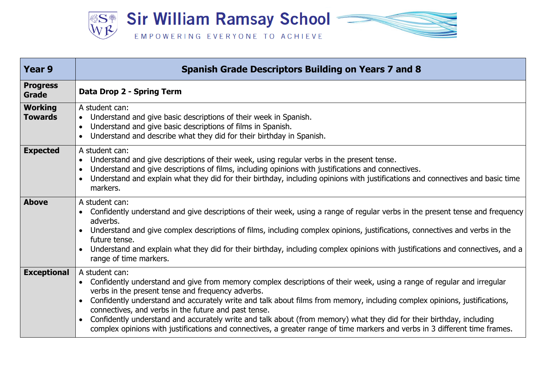

| Year 9                           | <b>Spanish Grade Descriptors Building on Years 7 and 8</b>                                                                                                                                                                                                                                                                                                                                                                                                                                                                                                                                                                                |
|----------------------------------|-------------------------------------------------------------------------------------------------------------------------------------------------------------------------------------------------------------------------------------------------------------------------------------------------------------------------------------------------------------------------------------------------------------------------------------------------------------------------------------------------------------------------------------------------------------------------------------------------------------------------------------------|
| <b>Progress</b><br><b>Grade</b>  | Data Drop 2 - Spring Term                                                                                                                                                                                                                                                                                                                                                                                                                                                                                                                                                                                                                 |
| <b>Working</b><br><b>Towards</b> | A student can:<br>Understand and give basic descriptions of their week in Spanish.<br>Understand and give basic descriptions of films in Spanish.<br>$\bullet$<br>Understand and describe what they did for their birthday in Spanish.                                                                                                                                                                                                                                                                                                                                                                                                    |
| <b>Expected</b>                  | A student can:<br>Understand and give descriptions of their week, using regular verbs in the present tense.<br>Understand and give descriptions of films, including opinions with justifications and connectives.<br>Understand and explain what they did for their birthday, including opinions with justifications and connectives and basic time<br>markers.                                                                                                                                                                                                                                                                           |
| <b>Above</b>                     | A student can:<br>Confidently understand and give descriptions of their week, using a range of regular verbs in the present tense and frequency<br>adverbs.<br>Understand and give complex descriptions of films, including complex opinions, justifications, connectives and verbs in the<br>future tense.<br>Understand and explain what they did for their birthday, including complex opinions with justifications and connectives, and a<br>$\bullet$<br>range of time markers.                                                                                                                                                      |
| <b>Exceptional</b>               | A student can:<br>Confidently understand and give from memory complex descriptions of their week, using a range of regular and irregular<br>verbs in the present tense and frequency adverbs.<br>Confidently understand and accurately write and talk about films from memory, including complex opinions, justifications,<br>connectives, and verbs in the future and past tense.<br>Confidently understand and accurately write and talk about (from memory) what they did for their birthday, including<br>complex opinions with justifications and connectives, a greater range of time markers and verbs in 3 different time frames. |